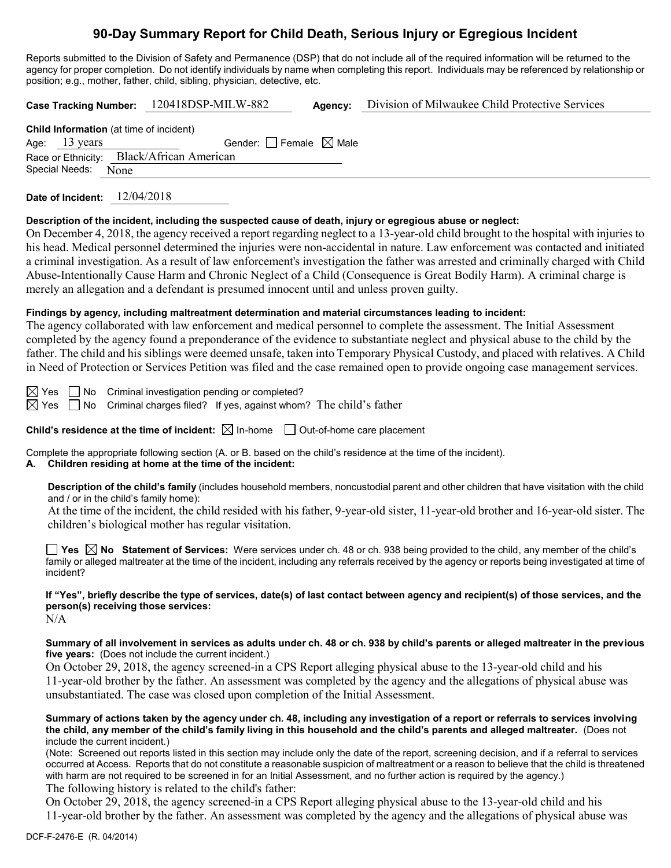# **90-Day Summary Report for Child Death, Serious Injury or Egregious Incident**

Reports submitted to the Division of Safety and Permanence (DSP) that do not include all of the required information will be returned to the agency for proper completion. Do not identify individuals by name when completing this report. Individuals may be referenced by relationship or position; e.g., mother, father, child, sibling, physician, detective, etc.

**Case Tracking Number:** 120418DSP-MILW-882 **Agency:** Division of Milwaukee Child Protective Services

**Child Information** (at time of incident) Age: 13 years Gender:  $\Box$  Female  $\boxtimes$  Male Race or Ethnicity: Black/African American Special Needs: None

**Date of Incident:** 12/04/2018

#### **Description of the incident, including the suspected cause of death, injury or egregious abuse or neglect:**

On December 4, 2018, the agency received a report regarding neglect to a 13-year-old child brought to the hospital with injuries to his head. Medical personnel determined the injuries were non-accidental in nature. Law enforcement was contacted and initiated a criminal investigation. As a result of law enforcement's investigation the father was arrested and criminally charged with Child Abuse-Intentionally Cause Harm and Chronic Neglect of a Child (Consequence is Great Bodily Harm). A criminal charge is merely an allegation and a defendant is presumed innocent until and unless proven guilty.

### **Findings by agency, including maltreatment determination and material circumstances leading to incident:**

The agency collaborated with law enforcement and medical personnel to complete the assessment. The Initial Assessment completed by the agency found a preponderance of the evidence to substantiate neglect and physical abuse to the child by the father. The child and his siblings were deemed unsafe, taken into Temporary Physical Custody, and placed with relatives. A Child in Need of Protection or Services Petition was filed and the case remained open to provide ongoing case management services.

 $\boxtimes$  Yes  $\Box$  No Criminal investigation pending or completed?

 $\boxtimes$  Yes  $\Box$  No Criminal charges filed? If yes, against whom? The child's father

**Child's residence at the time of incident:**  $\boxtimes$  In-home  $\Box$  Out-of-home care placement

Complete the appropriate following section (A. or B. based on the child's residence at the time of the incident).

**A. Children residing at home at the time of the incident:**

**Description of the child's family** (includes household members, noncustodial parent and other children that have visitation with the child and / or in the child's family home):

At the time of the incident, the child resided with his father, 9-year-old sister, 11-year-old brother and 16-year-old sister. The children's biological mother has regular visitation.

**Yes No Statement of Services:** Were services under ch. 48 or ch. 938 being provided to the child, any member of the child's family or alleged maltreater at the time of the incident, including any referrals received by the agency or reports being investigated at time of incident?

**If "Yes", briefly describe the type of services, date(s) of last contact between agency and recipient(s) of those services, and the person(s) receiving those services:**

N/A

**Summary of all involvement in services as adults under ch. 48 or ch. 938 by child's parents or alleged maltreater in the previous five years:** (Does not include the current incident.)

On October 29, 2018, the agency screened-in a CPS Report alleging physical abuse to the 13-year-old child and his 11-year-old brother by the father. An assessment was completed by the agency and the allegations of physical abuse was unsubstantiated. The case was closed upon completion of the Initial Assessment.

**Summary of actions taken by the agency under ch. 48, including any investigation of a report or referrals to services involving the child, any member of the child's family living in this household and the child's parents and alleged maltreater.** (Does not include the current incident.)

(Note: Screened out reports listed in this section may include only the date of the report, screening decision, and if a referral to services occurred at Access. Reports that do not constitute a reasonable suspicion of maltreatment or a reason to believe that the child is threatened with harm are not required to be screened in for an Initial Assessment, and no further action is required by the agency.) The following history is related to the child's father:

On October 29, 2018, the agency screened-in a CPS Report alleging physical abuse to the 13-year-old child and his 11-year-old brother by the father. An assessment was completed by the agency and the allegations of physical abuse was